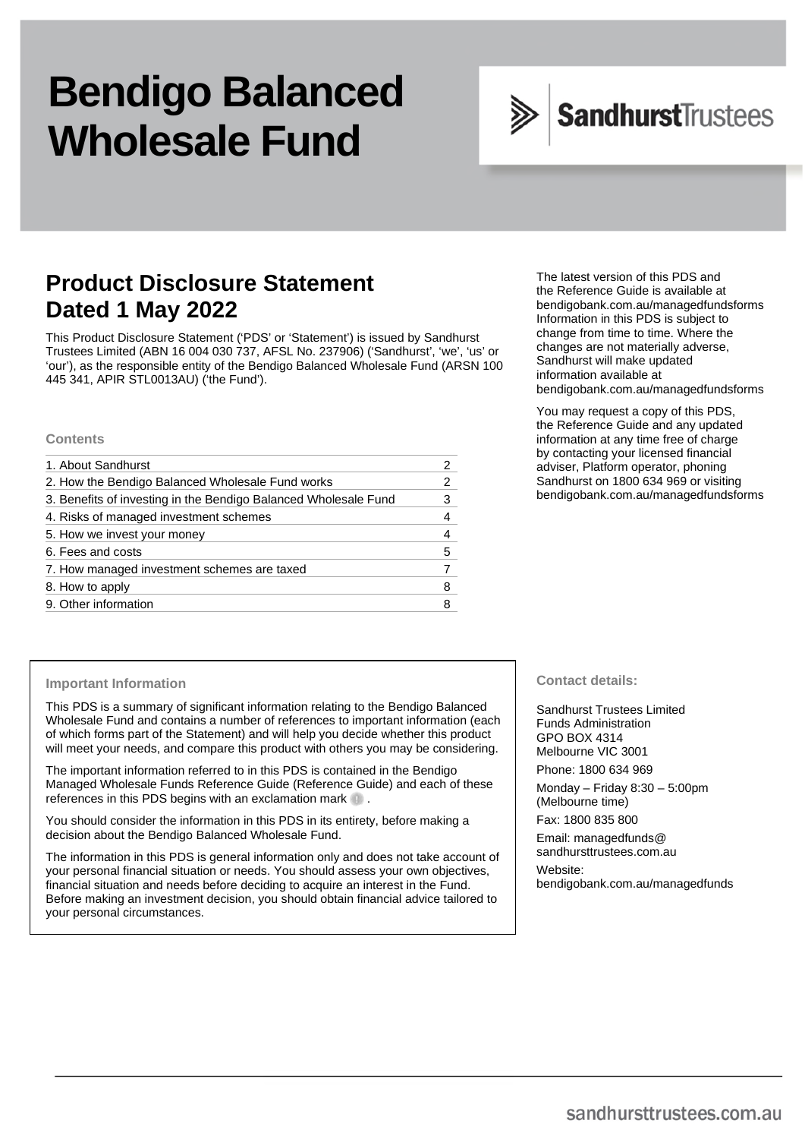# **Bendigo Balanced Wholesale Fund**



# **Product Disclosure Statement Dated 1 May 2022**

This Product Disclosure Statement ('PDS' or 'Statement') is issued by Sandhurst Trustees Limited (ABN 16 004 030 737, AFSL No. 237906) ('Sandhurst', 'we', 'us' or 'our'), as the responsible entity of the Bendigo Balanced Wholesale Fund (ARSN 100 445 341, APIR STL0013AU) ('the Fund').

#### **Contents**

| 1. About Sandhurst                                              |   |
|-----------------------------------------------------------------|---|
| 2. How the Bendigo Balanced Wholesale Fund works                |   |
| 3. Benefits of investing in the Bendigo Balanced Wholesale Fund | 3 |
| 4. Risks of managed investment schemes                          | 4 |
| 5. How we invest your money                                     | 4 |
| 6. Fees and costs                                               | 5 |
| 7. How managed investment schemes are taxed                     |   |
| 8. How to apply                                                 | 8 |
| 9. Other information                                            | 8 |

The latest version of this PDS and the Reference Guide is available at [bendigobank.com.au/managedfundsf](https://bendigobank.com.au/managedfundsforms)orms Information in this PDS is subject to change from time to time. Where the changes are not materially adverse, Sandhurst will make updated information available at [bendigobank.com.au/managedfundsf](https://bendigobank.com.au/managedfundsforms)orms

You may request a copy of this PDS, the Reference Guide and any updated information at any time free of charge by contacting your licensed financial adviser, Platform operator, phoning Sandhurst on 1800 634 969 or visiting [bendigobank.com.au/managedfundsf](https://bendigobank.com.au/managedfundsforms)orms

#### **Important Information**

This PDS is a summary of significant information relating to the Bendigo Balanced Wholesale Fund and contains a number of references to important information (each of which forms part of the Statement) and will help you decide whether this product will meet your needs, and compare this product with others you may be considering.

The important information referred to in this PDS is contained in the Bendigo Managed Wholesale Funds Reference Guide (Reference Guide) and each of these references in this PDS begins with an exclamation mark  $\blacksquare$ .

You should consider the information in this PDS in its entirety, before making a decision about the Bendigo Balanced Wholesale Fund.

The information in this PDS is general information only and does not take account of your personal financial situation or needs. You should assess your own objectives, financial situation and needs before deciding to acquire an interest in the Fund. Before making an investment decision, you should obtain financial advice tailored to your personal circumstances.

**Contact details:** 

Sandhurst Trustees Limited Funds Administration GPO BOX 4314 Melbourne VIC 3001 Phone: 1800 634 969

Monday – Friday 8:30 – 5:00pm (Melbourne time)

Fax: 1800 835 800

Email[: managedfunds@](mailto:managedfunds@sandhursttrustees.com.au)  [sandhursttrustees.com.au](mailto:managedfunds@sandhursttrustees.com.au)

Website: [bendigobank.com.au/managedfunds](https://www.bendigobank.com.au/managedfundsforms/)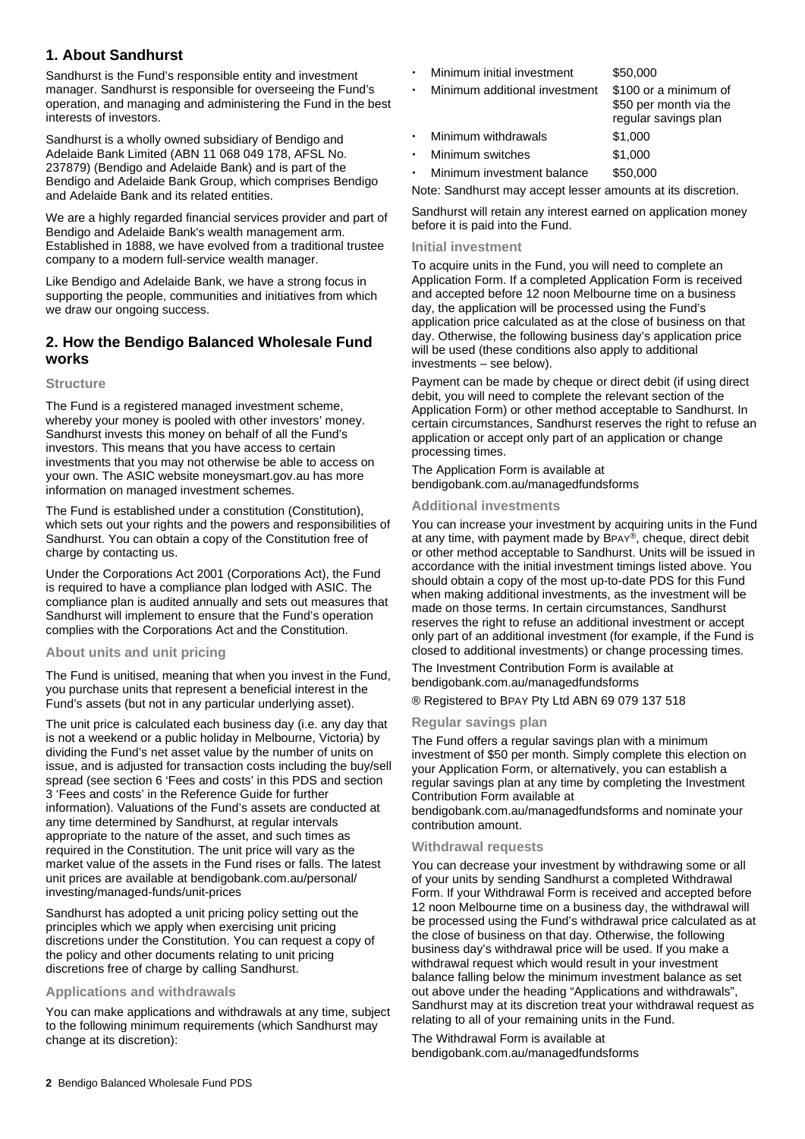# **1. About Sandhurst**

Sandhurst is the Fund's responsible entity and investment manager. Sandhurst is responsible for overseeing the Fund's operation, and managing and administering the Fund in the best interests of investors.

Sandhurst is a wholly owned subsidiary of Bendigo and Adelaide Bank Limited (ABN 11 068 049 178, AFSL No. 237879) (Bendigo and Adelaide Bank) and is part of the Bendigo and Adelaide Bank Group, which comprises Bendigo and Adelaide Bank and its related entities.

We are a highly regarded financial services provider and part of Bendigo and Adelaide Bank's wealth management arm. Established in 1888, we have evolved from a traditional trustee company to a modern full-service wealth manager.

Like Bendigo and Adelaide Bank, we have a strong focus in supporting the people, communities and initiatives from which we draw our ongoing success.

# **2. How the Bendigo Balanced Wholesale Fund works**

#### **Structure**

The Fund is a registered managed investment scheme, whereby your money is pooled with other investors' money. Sandhurst invests this money on behalf of all the Fund's investors. This means that you have access to certain investments that you may not otherwise be able to access on your own. The ASIC website [moneysmart.gov.au](https://www.moneysmart.gov.au/) has more information on managed investment schemes.

The Fund is established under a constitution (Constitution), which sets out your rights and the powers and responsibilities of Sandhurst. You can obtain a copy of the Constitution free of charge by contacting us.

Under the Corporations Act 2001 (Corporations Act), the Fund is required to have a compliance plan lodged with ASIC. The compliance plan is audited annually and sets out measures that Sandhurst will implement to ensure that the Fund's operation complies with the Corporations Act and the Constitution.

#### **About units and unit pricing**

The Fund is unitised, meaning that when you invest in the Fund, you purchase units that represent a beneficial interest in the Fund's assets (but not in any particular underlying asset).

The unit price is calculated each business day (i.e. any day that is not a weekend or a public holiday in Melbourne, Victoria) by dividing the Fund's net asset value by the number of units on issue, and is adjusted for transaction costs including the buy/sell spread (see section 6 'Fees and costs' in this PDS and section 3 'Fees and costs' in the Reference Guide for further information). Valuations of the Fund's assets are conducted at any time determined by Sandhurst, at regular intervals appropriate to the nature of the asset, and such times as required in the Constitution. The unit price will vary as the market value of the assets in the Fund rises or falls. The latest unit prices are available at [bendigobank.com.au/personal/](https://www.bendigobank.com.au/personal/investing/managed-funds/unit-prices)  [investing/managed-funds/unit-prices](https://www.bendigobank.com.au/personal/investing/managed-funds/unit-prices) 

Sandhurst has adopted a unit pricing policy setting out the principles which we apply when exercising unit pricing discretions under the Constitution. You can request a copy of the policy and other documents relating to unit pricing discretions free of charge by calling Sandhurst.

#### **Applications and withdrawals**

You can make applications and withdrawals at any time, subject to the following minimum requirements (which Sandhurst may change at its discretion):

- Minimum initial investment \$50,000
- Minimum additional investment \$100 or a minimum of

|           |                            | \$50 per month via the<br>regular savings plan |
|-----------|----------------------------|------------------------------------------------|
|           | · Minimum withdrawals      | \$1,000                                        |
|           | $\cdot$ Minimum switches   | \$1,000                                        |
| $\bullet$ | Minimum investment balance | \$50,000                                       |

Note: Sandhurst may accept lesser amounts at its discretion.

Sandhurst will retain any interest earned on application money before it is paid into the Fund.

#### **Initial investment**

To acquire units in the Fund, you will need to complete an Application Form. If a completed Application Form is received and accepted before 12 noon Melbourne time on a business day, the application will be processed using the Fund's application price calculated as at the close of business on that day. Otherwise, the following business day's application price will be used (these conditions also apply to additional investments – see below).

Payment can be made by cheque or direct debit (if using direct debit, you will need to complete the relevant section of the Application Form) or other method acceptable to Sandhurst. In certain circumstances, Sandhurst reserves the right to refuse an application or accept only part of an application or change processing times.

The Application Form is available at [bendigobank.com.au/managedfundsf](https://bendigobank.com.au/managedfundsforms)orms

#### **Additional investments**

You can increase your investment by acquiring units in the Fund at any time, with payment made by BPAY®, cheque, direct debit or other method acceptable to Sandhurst. Units will be issued in accordance with the initial investment timings listed above. You should obtain a copy of the most up-to-date PDS for this Fund when making additional investments, as the investment will be made on those terms. In certain circumstances, Sandhurst reserves the right to refuse an additional investment or accept only part of an additional investment (for example, if the Fund is closed to additional investments) or change processing times.

The Investment Contribution Form is available at [bendigobank.com.au/managedfundsf](https://bendigobank.com.au/managedfundsforms)orms

® Registered to BPAY Pty Ltd ABN 69 079 137 518

#### **Regular savings plan**

The Fund offers a regular savings plan with a minimum investment of \$50 per month. Simply complete this election on your Application Form, or alternatively, you can establish a regular savings plan at any time by completing the Investment Contribution Form available at

[bendigobank.com.au/managedfundsf](https://bendigobank.com.au/managedfundsforms)orms and nominate your contribution amount.

#### **Withdrawal requests**

You can decrease your investment by withdrawing some or all of your units by sending Sandhurst a completed Withdrawal Form. If your Withdrawal Form is received and accepted before 12 noon Melbourne time on a business day, the withdrawal will be processed using the Fund's withdrawal price calculated as at the close of business on that day. Otherwise, the following business day's withdrawal price will be used. If you make a withdrawal request which would result in your investment balance falling below the minimum investment balance as set out above under the heading "Applications and withdrawals", Sandhurst may at its discretion treat your withdrawal request as relating to all of your remaining units in the Fund.

The Withdrawal Form is available at [bendigobank.com.au/managedfundsf](https://bendigobank.com.au/managedfundsforms)orms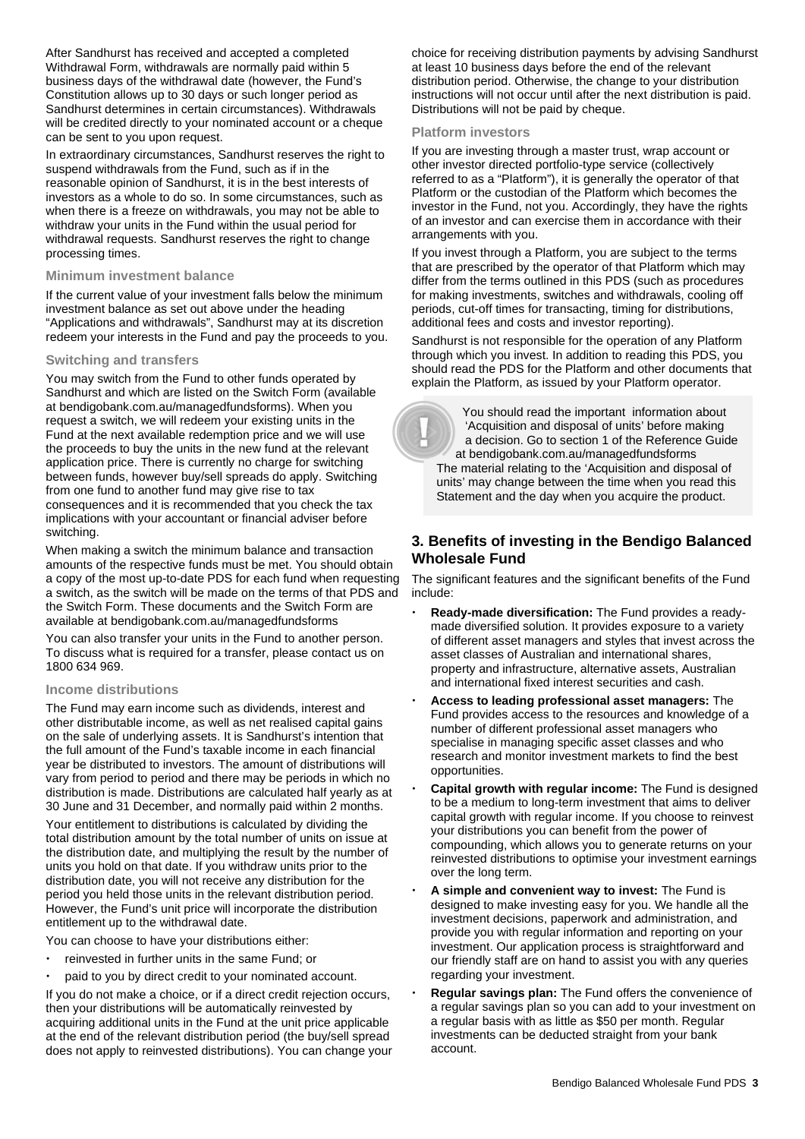After Sandhurst has received and accepted a completed Withdrawal Form, withdrawals are normally paid within 5 business days of the withdrawal date (however, the Fund's Constitution allows up to 30 days or such longer period as Sandhurst determines in certain circumstances). Withdrawals will be credited directly to your nominated account or a cheque can be sent to you upon request.

In extraordinary circumstances, Sandhurst reserves the right to suspend withdrawals from the Fund, such as if in the reasonable opinion of Sandhurst, it is in the best interests of investors as a whole to do so. In some circumstances, such as when there is a freeze on withdrawals, you may not be able to withdraw your units in the Fund within the usual period for withdrawal requests. Sandhurst reserves the right to change processing times.

#### **Minimum investment balance**

If the current value of your investment falls below the minimum investment balance as set out above under the heading "Applications and withdrawals", Sandhurst may at its discretion redeem your interests in the Fund and pay the proceeds to you.

#### **Switching and transfers**

You may switch from the Fund to other funds operated by Sandhurst and which are listed on the Switch Form (available at [bendigobank.com.au/managedfundsf](https://bendigobank.com.au/managedfundsforms)orms). When you request a switch, we will redeem your existing units in the Fund at the next available redemption price and we will use the proceeds to buy the units in the new fund at the relevant application price. There is currently no charge for switching between funds, however buy/sell spreads do apply. Switching from one fund to another fund may give rise to tax consequences and it is recommended that you check the tax implications with your accountant or financial adviser before switching.

When making a switch the minimum balance and transaction amounts of the respective funds must be met. You should obtain a copy of the most up-to-date PDS for each fund when requesting a switch, as the switch will be made on the terms of that PDS and the Switch Form. These documents and the Switch Form are available at [bendigobank.com.au/managedfundsf](https://bendigobank.com.au/managedfundsforms)orms

You can also transfer your units in the Fund to another person. To discuss what is required for a transfer, please contact us on 1800 634 969.

#### **Income distributions**

The Fund may earn income such as dividends, interest and other distributable income, as well as net realised capital gains on the sale of underlying assets. It is Sandhurst's intention that the full amount of the Fund's taxable income in each financial year be distributed to investors. The amount of distributions will vary from period to period and there may be periods in which no distribution is made. Distributions are calculated half yearly as at 30 June and 31 December, and normally paid within 2 months.

Your entitlement to distributions is calculated by dividing the total distribution amount by the total number of units on issue at the distribution date, and multiplying the result by the number of units you hold on that date. If you withdraw units prior to the distribution date, you will not receive any distribution for the period you held those units in the relevant distribution period. However, the Fund's unit price will incorporate the distribution entitlement up to the withdrawal date.

You can choose to have your distributions either:

- reinvested in further units in the same Fund; or
- paid to you by direct credit to your nominated account.

If you do not make a choice, or if a direct credit rejection occurs, then your distributions will be automatically reinvested by acquiring additional units in the Fund at the unit price applicable at the end of the relevant distribution period (the buy/sell spread does not apply to reinvested distributions). You can change your choice for receiving distribution payments by advising Sandhurst at least 10 business days before the end of the relevant distribution period. Otherwise, the change to your distribution instructions will not occur until after the next distribution is paid. Distributions will not be paid by cheque.

#### **Platform investors**

If you are investing through a master trust, wrap account or other investor directed portfolio-type service (collectively referred to as a "Platform"), it is generally the operator of that Platform or the custodian of the Platform which becomes the investor in the Fund, not you. Accordingly, they have the rights of an investor and can exercise them in accordance with their arrangements with you.

If you invest through a Platform, you are subject to the terms that are prescribed by the operator of that Platform which may differ from the terms outlined in this PDS (such as procedures for making investments, switches and withdrawals, cooling off periods, cut-off times for transacting, timing for distributions, additional fees and costs and investor reporting).

Sandhurst is not responsible for the operation of any Platform through which you invest. In addition to reading this PDS, you should read the PDS for the Platform and other documents that explain the Platform, as issued by your Platform operator.

 You should read the important information about 'Acquisition and disposal of units' before making a decision. Go to section 1 of the Reference Guide at [bendigobank.com.au/managedfundsf](https://bendigobank.com.au/managedfundsforms)orms The material relating to the 'Acquisition and disposal of units' may change between the time when you read this Statement and the day when you acquire the product.

# **3. Benefits of investing in the Bendigo Balanced Wholesale Fund**

The significant features and the significant benefits of the Fund include:

- **Ready-made diversification:** The Fund provides a readymade diversified solution. It provides exposure to a variety of different asset managers and styles that invest across the asset classes of Australian and international shares, property and infrastructure, alternative assets, Australian and international fixed interest securities and cash.
- **Access to leading professional asset managers:** The Fund provides access to the resources and knowledge of a number of different professional asset managers who specialise in managing specific asset classes and who research and monitor investment markets to find the best opportunities.
- **Capital growth with regular income:** The Fund is designed to be a medium to long-term investment that aims to deliver capital growth with regular income. If you choose to reinvest your distributions you can benefit from the power of compounding, which allows you to generate returns on your reinvested distributions to optimise your investment earnings over the long term.
- **A simple and convenient way to invest:** The Fund is designed to make investing easy for you. We handle all the investment decisions, paperwork and administration, and provide you with regular information and reporting on your investment. Our application process is straightforward and our friendly staff are on hand to assist you with any queries regarding your investment.
- **Regular savings plan:** The Fund offers the convenience of a regular savings plan so you can add to your investment on a regular basis with as little as \$50 per month. Regular investments can be deducted straight from your bank account.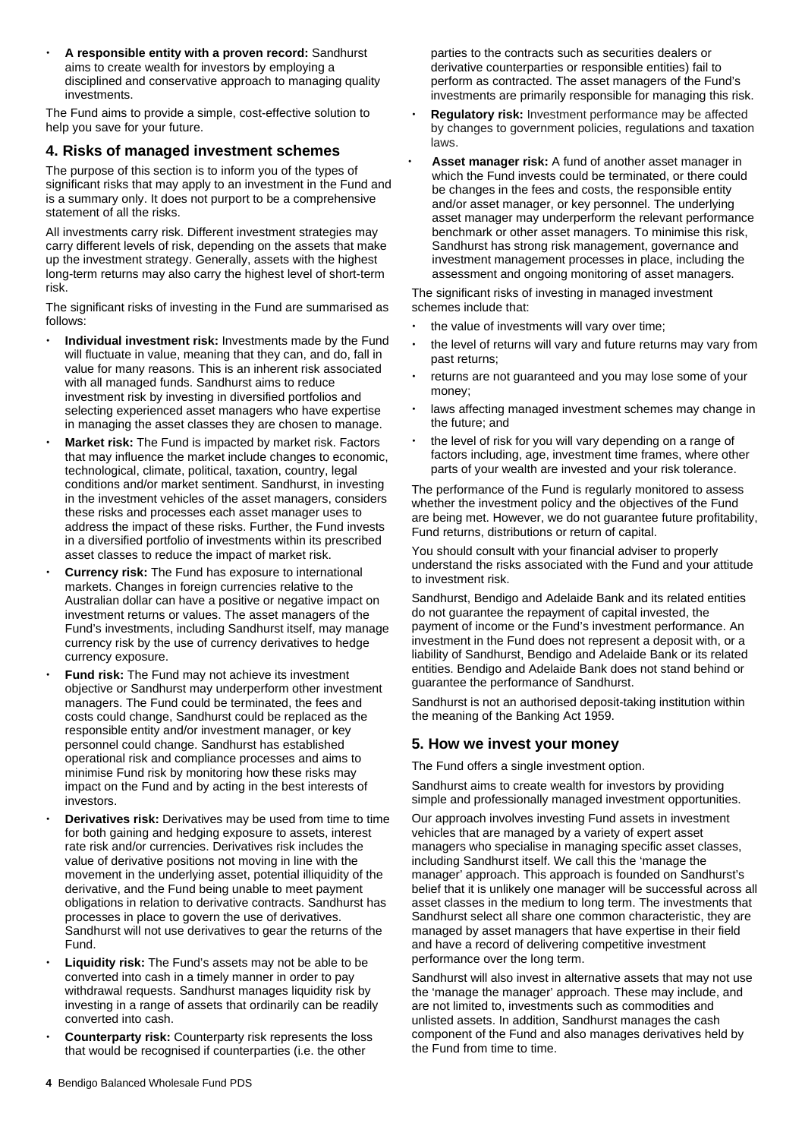**A responsible entity with a proven record:** Sandhurst aims to create wealth for investors by employing a disciplined and conservative approach to managing quality investments.

The Fund aims to provide a simple, cost-effective solution to help you save for your future.

#### **4. Risks of managed investment schemes**

The purpose of this section is to inform you of the types of significant risks that may apply to an investment in the Fund and is a summary only. It does not purport to be a comprehensive statement of all the risks.

All investments carry risk. Different investment strategies may carry different levels of risk, depending on the assets that make up the investment strategy. Generally, assets with the highest long-term returns may also carry the highest level of short-term risk.

The significant risks of investing in the Fund are summarised as follows:

- **Individual investment risk:** Investments made by the Fund will fluctuate in value, meaning that they can, and do, fall in value for many reasons. This is an inherent risk associated with all managed funds. Sandhurst aims to reduce investment risk by investing in diversified portfolios and selecting experienced asset managers who have expertise in managing the asset classes they are chosen to manage.
- **Market risk:** The Fund is impacted by market risk. Factors that may influence the market include changes to economic, technological, climate, political, taxation, country, legal conditions and/or market sentiment. Sandhurst, in investing in the investment vehicles of the asset managers, considers these risks and processes each asset manager uses to address the impact of these risks. Further, the Fund invests in a diversified portfolio of investments within its prescribed asset classes to reduce the impact of market risk.
- **Currency risk:** The Fund has exposure to international markets. Changes in foreign currencies relative to the Australian dollar can have a positive or negative impact on investment returns or values. The asset managers of the Fund's investments, including Sandhurst itself, may manage currency risk by the use of currency derivatives to hedge currency exposure.
- **Fund risk:** The Fund may not achieve its investment objective or Sandhurst may underperform other investment managers. The Fund could be terminated, the fees and costs could change, Sandhurst could be replaced as the responsible entity and/or investment manager, or key personnel could change. Sandhurst has established operational risk and compliance processes and aims to minimise Fund risk by monitoring how these risks may impact on the Fund and by acting in the best interests of investors.
- **Derivatives risk:** Derivatives may be used from time to time for both gaining and hedging exposure to assets, interest rate risk and/or currencies. Derivatives risk includes the value of derivative positions not moving in line with the movement in the underlying asset, potential illiquidity of the derivative, and the Fund being unable to meet payment obligations in relation to derivative contracts. Sandhurst has processes in place to govern the use of derivatives. Sandhurst will not use derivatives to gear the returns of the Fund.
- **Liquidity risk:** The Fund's assets may not be able to be converted into cash in a timely manner in order to pay withdrawal requests. Sandhurst manages liquidity risk by investing in a range of assets that ordinarily can be readily converted into cash.
- **Counterparty risk:** Counterparty risk represents the loss that would be recognised if counterparties (i.e. the other

parties to the contracts such as securities dealers or derivative counterparties or responsible entities) fail to perform as contracted. The asset managers of the Fund's investments are primarily responsible for managing this risk.

- **Regulatory risk:** Investment performance may be affected by changes to government policies, regulations and taxation laws.
- **Asset manager risk:** A fund of another asset manager in which the Fund invests could be terminated, or there could be changes in the fees and costs, the responsible entity and/or asset manager, or key personnel. The underlying asset manager may underperform the relevant performance benchmark or other asset managers. To minimise this risk, Sandhurst has strong risk management, governance and investment management processes in place, including the assessment and ongoing monitoring of asset managers.

The significant risks of investing in managed investment schemes include that:

- the value of investments will vary over time;
- the level of returns will vary and future returns may vary from past returns;
- returns are not guaranteed and you may lose some of your money;
- laws affecting managed investment schemes may change in the future; and
- the level of risk for you will vary depending on a range of factors including, age, investment time frames, where other parts of your wealth are invested and your risk tolerance.

The performance of the Fund is regularly monitored to assess whether the investment policy and the objectives of the Fund are being met. However, we do not guarantee future profitability, Fund returns, distributions or return of capital.

You should consult with your financial adviser to properly understand the risks associated with the Fund and your attitude to investment risk.

Sandhurst, Bendigo and Adelaide Bank and its related entities do not guarantee the repayment of capital invested, the payment of income or the Fund's investment performance. An investment in the Fund does not represent a deposit with, or a liability of Sandhurst, Bendigo and Adelaide Bank or its related entities. Bendigo and Adelaide Bank does not stand behind or guarantee the performance of Sandhurst.

Sandhurst is not an authorised deposit-taking institution within the meaning of the Banking Act 1959.

# **5. How we invest your money**

The Fund offers a single investment option.

Sandhurst aims to create wealth for investors by providing simple and professionally managed investment opportunities.

Our approach involves investing Fund assets in investment vehicles that are managed by a variety of expert asset managers who specialise in managing specific asset classes, including Sandhurst itself. We call this the 'manage the manager' approach. This approach is founded on Sandhurst's belief that it is unlikely one manager will be successful across all asset classes in the medium to long term. The investments that Sandhurst select all share one common characteristic, they are managed by asset managers that have expertise in their field and have a record of delivering competitive investment performance over the long term.

Sandhurst will also invest in alternative assets that may not use the 'manage the manager' approach. These may include, and are not limited to, investments such as commodities and unlisted assets. In addition, Sandhurst manages the cash component of the Fund and also manages derivatives held by the Fund from time to time.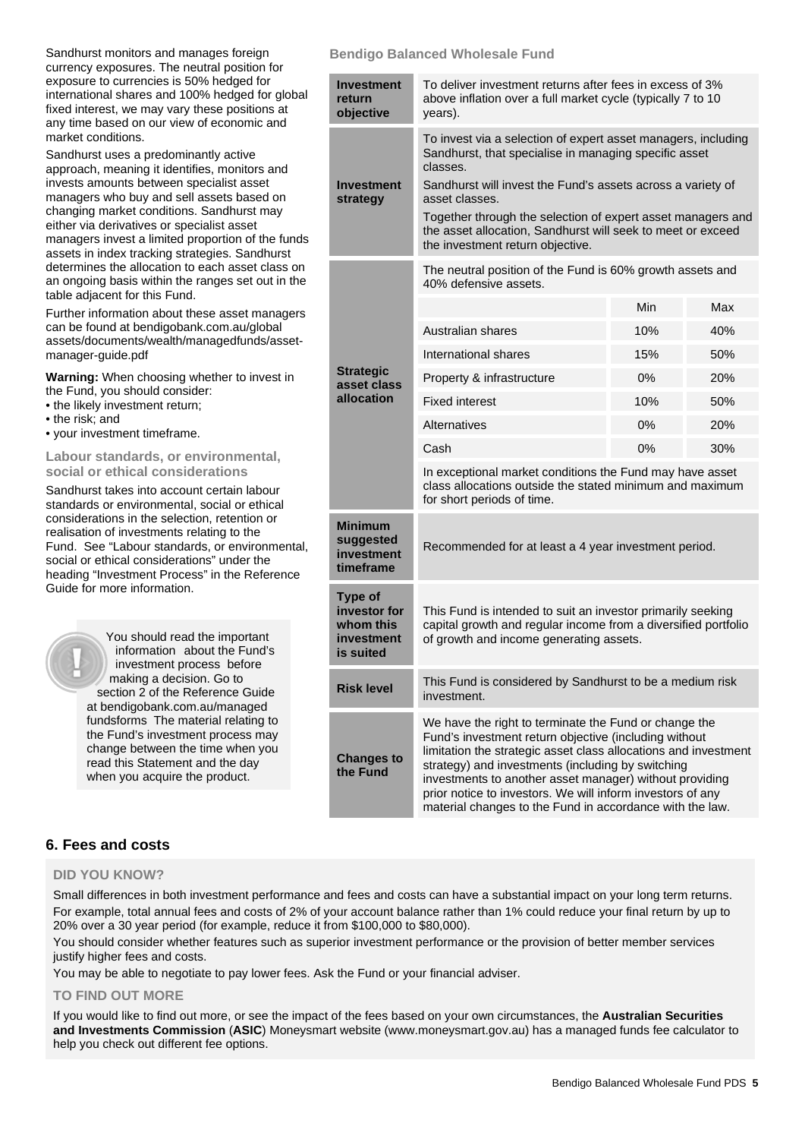Sandhurst monitors and manages foreign currency exposures. The neutral position for exposure to currencies is 50% hedged for international shares and 100% hedged for global fixed interest, we may vary these positions at any time based on our view of economic and market conditions.

Sandhurst uses a predominantly active approach, meaning it identifies, monitors and invests amounts between specialist asset managers who buy and sell assets based on changing market conditions. Sandhurst may either via derivatives or specialist asset managers invest a limited proportion of the funds assets in index tracking strategies. Sandhurst determines the allocation to each asset class on an ongoing basis within the ranges set out in the table adjacent for this Fund.

Further information about these asset managers can be found a[t bendigobank.com.au/global](https://www.bendigobank.com.au/globalassets/documents/wealth/managedfunds/asset-manager-guide.pdf)  [assets/documents/wealth/managedfunds/asset](https://www.bendigobank.com.au/globalassets/documents/wealth/managedfunds/asset-manager-guide.pdf)[manager-guide.pdf](https://www.bendigobank.com.au/globalassets/documents/wealth/managedfunds/asset-manager-guide.pdf)

**Warning:** When choosing whether to invest in the Fund, you should consider:

- the likely investment return;
- the risk; and
- your investment timeframe.

#### **Labour standards, or environmental, social or ethical considerations**

Sandhurst takes into account certain labour standards or environmental, social or ethical considerations in the selection, retention or realisation of investments relating to the Fund. See "Labour standards, or environmental, social or ethical considerations" under the heading "Investment Process" in the Reference Guide for more information.

> You should read the important information about the Fund's investment process before making a decision. Go to section 2 of the Reference Guide at [bendigobank.com.au/managed](https://bendigobank.com.au/managedfundsforms)  [fundsf](https://bendigobank.com.au/managedfundsforms)orms The material relating to the Fund's investment process may change between the time when you read this Statement and the day when you acquire the product.

#### **Bendigo Balanced Wholesale Fund**

| Investment<br>return<br>objective                                      | To deliver investment returns after fees in excess of 3%<br>above inflation over a full market cycle (typically 7 to 10<br>years).                                                                                                                                                                                                                                                                                          |     |     |  |
|------------------------------------------------------------------------|-----------------------------------------------------------------------------------------------------------------------------------------------------------------------------------------------------------------------------------------------------------------------------------------------------------------------------------------------------------------------------------------------------------------------------|-----|-----|--|
| Investment<br>strategy                                                 | To invest via a selection of expert asset managers, including<br>Sandhurst, that specialise in managing specific asset<br>classes.<br>Sandhurst will invest the Fund's assets across a variety of<br>asset classes.<br>Together through the selection of expert asset managers and<br>the asset allocation, Sandhurst will seek to meet or exceed<br>the investment return objective.                                       |     |     |  |
|                                                                        | The neutral position of the Fund is 60% growth assets and<br>40% defensive assets.                                                                                                                                                                                                                                                                                                                                          |     |     |  |
|                                                                        |                                                                                                                                                                                                                                                                                                                                                                                                                             | Min | Max |  |
|                                                                        | Australian shares                                                                                                                                                                                                                                                                                                                                                                                                           | 10% | 40% |  |
|                                                                        | International shares                                                                                                                                                                                                                                                                                                                                                                                                        | 15% | 50% |  |
| <b>Strategic</b><br>asset class                                        | Property & infrastructure                                                                                                                                                                                                                                                                                                                                                                                                   | 0%  | 20% |  |
| allocation                                                             | <b>Fixed interest</b>                                                                                                                                                                                                                                                                                                                                                                                                       | 10% | 50% |  |
|                                                                        | <b>Alternatives</b>                                                                                                                                                                                                                                                                                                                                                                                                         | 0%  | 20% |  |
|                                                                        | Cash                                                                                                                                                                                                                                                                                                                                                                                                                        | 0%  | 30% |  |
|                                                                        | In exceptional market conditions the Fund may have asset<br>class allocations outside the stated minimum and maximum<br>for short periods of time.                                                                                                                                                                                                                                                                          |     |     |  |
| <b>Minimum</b><br>suggested<br>investment<br>timeframe                 | Recommended for at least a 4 year investment period.                                                                                                                                                                                                                                                                                                                                                                        |     |     |  |
| <b>Type of</b><br>investor for<br>whom this<br>investment<br>is suited | This Fund is intended to suit an investor primarily seeking<br>capital growth and regular income from a diversified portfolio<br>of growth and income generating assets.                                                                                                                                                                                                                                                    |     |     |  |
| <b>Risk level</b>                                                      | This Fund is considered by Sandhurst to be a medium risk<br>investment.                                                                                                                                                                                                                                                                                                                                                     |     |     |  |
| <b>Changes to</b><br>the Fund                                          | We have the right to terminate the Fund or change the<br>Fund's investment return objective (including without<br>limitation the strategic asset class allocations and investment<br>strategy) and investments (including by switching<br>investments to another asset manager) without providing<br>prior notice to investors. We will inform investors of any<br>material changes to the Fund in accordance with the law. |     |     |  |

# **6. Fees and costs**

#### **DID YOU KNOW?**

Small differences in both investment performance and fees and costs can have a substantial impact on your long term returns. For example, total annual fees and costs of 2% of your account balance rather than 1% could reduce your final return by up to 20% over a 30 year period (for example, reduce it from \$100,000 to \$80,000).

You should consider whether features such as superior investment performance or the provision of better member services justify higher fees and costs.

You may be able to negotiate to pay lower fees. Ask the Fund or your financial adviser.

#### **TO FIND OUT MORE**

If you would like to find out more, or see the impact of the fees based on your own circumstances, the **Australian Securities and Investments Commission** (**ASIC**) Moneysmart website (www[.moneysmart.gov.au\)](https://www.moneysmart.gov.au/) has a managed funds fee calculator to help you check out different fee options.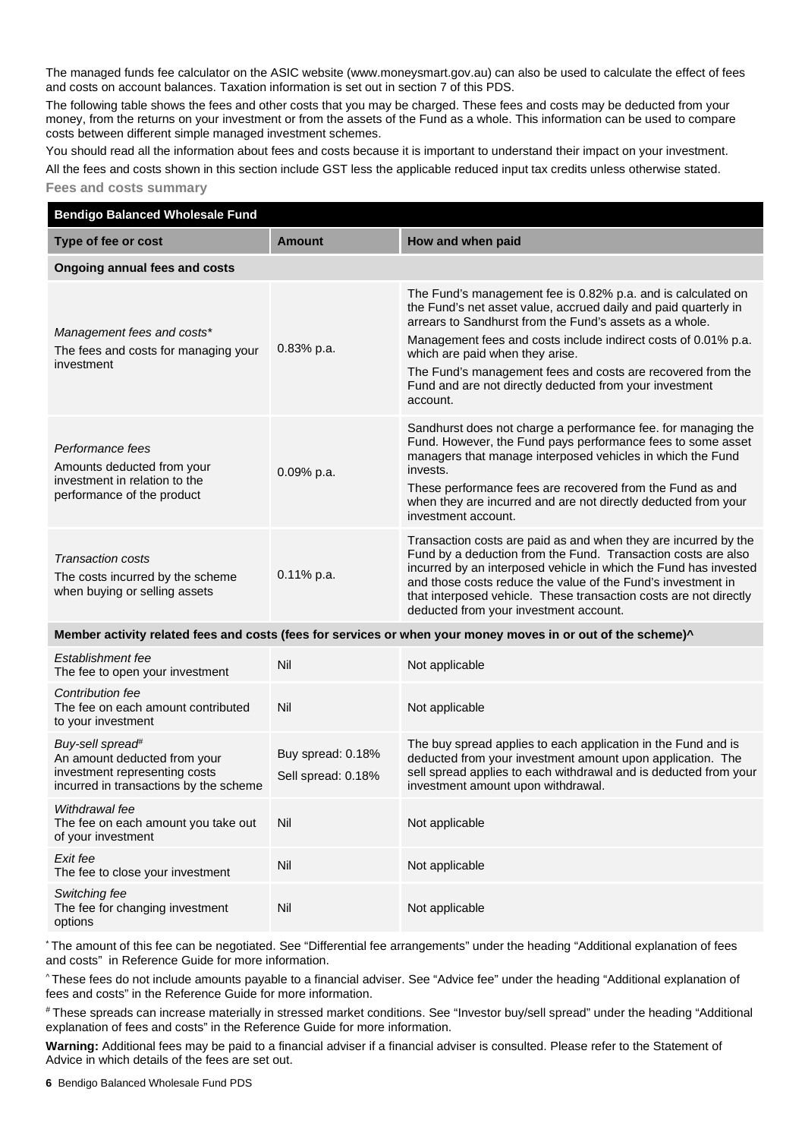The managed funds fee calculator on the ASIC website (ww[w.moneysmart.gov.au\)](https://www.moneysmart.gov.au/) can also be used to calculate the effect of fees and costs on account balances. Taxation information is set out in section 7 of this PDS.

The following table shows the fees and other costs that you may be charged. These fees and costs may be deducted from your money, from the returns on your investment or from the assets of the Fund as a whole. This information can be used to compare costs between different simple managed investment schemes.

You should read all the information about fees and costs because it is important to understand their impact on your investment.

All the fees and costs shown in this section include GST less the applicable reduced input tax credits unless otherwise stated.

### **Fees and costs summary**

| <b>Bendigo Balanced Wholesale Fund</b>                                                                                                  |                                         |                                                                                                                                                                                                                                                                                                                                                                                                                                       |  |  |
|-----------------------------------------------------------------------------------------------------------------------------------------|-----------------------------------------|---------------------------------------------------------------------------------------------------------------------------------------------------------------------------------------------------------------------------------------------------------------------------------------------------------------------------------------------------------------------------------------------------------------------------------------|--|--|
| Type of fee or cost                                                                                                                     | <b>Amount</b>                           | How and when paid                                                                                                                                                                                                                                                                                                                                                                                                                     |  |  |
| <b>Ongoing annual fees and costs</b>                                                                                                    |                                         |                                                                                                                                                                                                                                                                                                                                                                                                                                       |  |  |
| Management fees and costs*<br>The fees and costs for managing your<br>investment                                                        | 0.83% p.a.                              | The Fund's management fee is 0.82% p.a. and is calculated on<br>the Fund's net asset value, accrued daily and paid quarterly in<br>arrears to Sandhurst from the Fund's assets as a whole.<br>Management fees and costs include indirect costs of 0.01% p.a.<br>which are paid when they arise.<br>The Fund's management fees and costs are recovered from the<br>Fund and are not directly deducted from your investment<br>account. |  |  |
| Performance fees<br>Amounts deducted from your<br>investment in relation to the<br>performance of the product                           | 0.09% p.a.                              | Sandhurst does not charge a performance fee. for managing the<br>Fund. However, the Fund pays performance fees to some asset<br>managers that manage interposed vehicles in which the Fund<br>invests.<br>These performance fees are recovered from the Fund as and<br>when they are incurred and are not directly deducted from your<br>investment account.                                                                          |  |  |
| <b>Transaction costs</b><br>The costs incurred by the scheme<br>when buying or selling assets                                           | $0.11\%$ p.a.                           | Transaction costs are paid as and when they are incurred by the<br>Fund by a deduction from the Fund. Transaction costs are also<br>incurred by an interposed vehicle in which the Fund has invested<br>and those costs reduce the value of the Fund's investment in<br>that interposed vehicle. These transaction costs are not directly<br>deducted from your investment account.                                                   |  |  |
|                                                                                                                                         |                                         | Member activity related fees and costs (fees for services or when your money moves in or out of the scheme)^                                                                                                                                                                                                                                                                                                                          |  |  |
| Establishment fee<br>The fee to open your investment                                                                                    | Nil                                     | Not applicable                                                                                                                                                                                                                                                                                                                                                                                                                        |  |  |
| <b>Contribution fee</b><br>The fee on each amount contributed<br>to your investment                                                     | Nil                                     | Not applicable                                                                                                                                                                                                                                                                                                                                                                                                                        |  |  |
| Buy-sell spread <sup>#</sup><br>An amount deducted from your<br>investment representing costs<br>incurred in transactions by the scheme | Buy spread: 0.18%<br>Sell spread: 0.18% | The buy spread applies to each application in the Fund and is<br>deducted from your investment amount upon application. The<br>sell spread applies to each withdrawal and is deducted from your<br>investment amount upon withdrawal.                                                                                                                                                                                                 |  |  |
| Withdrawal fee<br>The fee on each amount you take out<br>of your investment                                                             | Nil                                     | Not applicable                                                                                                                                                                                                                                                                                                                                                                                                                        |  |  |
| Exit fee<br>The fee to close your investment                                                                                            | Nil                                     | Not applicable                                                                                                                                                                                                                                                                                                                                                                                                                        |  |  |
| Switching fee<br>The fee for changing investment<br>options                                                                             | Nil                                     | Not applicable                                                                                                                                                                                                                                                                                                                                                                                                                        |  |  |

\* The amount of this fee can be negotiated. See "Differential fee arrangements" under the heading "Additional explanation of fees and costs" in Reference Guide for more information.

^ These fees do not include amounts payable to a financial adviser. See "Advice fee" under the heading "Additional explanation of fees and costs" in the Reference Guide for more information.

# These spreads can increase materially in stressed market conditions. See "Investor buy/sell spread" under the heading "Additional explanation of fees and costs" in the Reference Guide for more information.

**Warning:** Additional fees may be paid to a financial adviser if a financial adviser is consulted. Please refer to the Statement of Advice in which details of the fees are set out.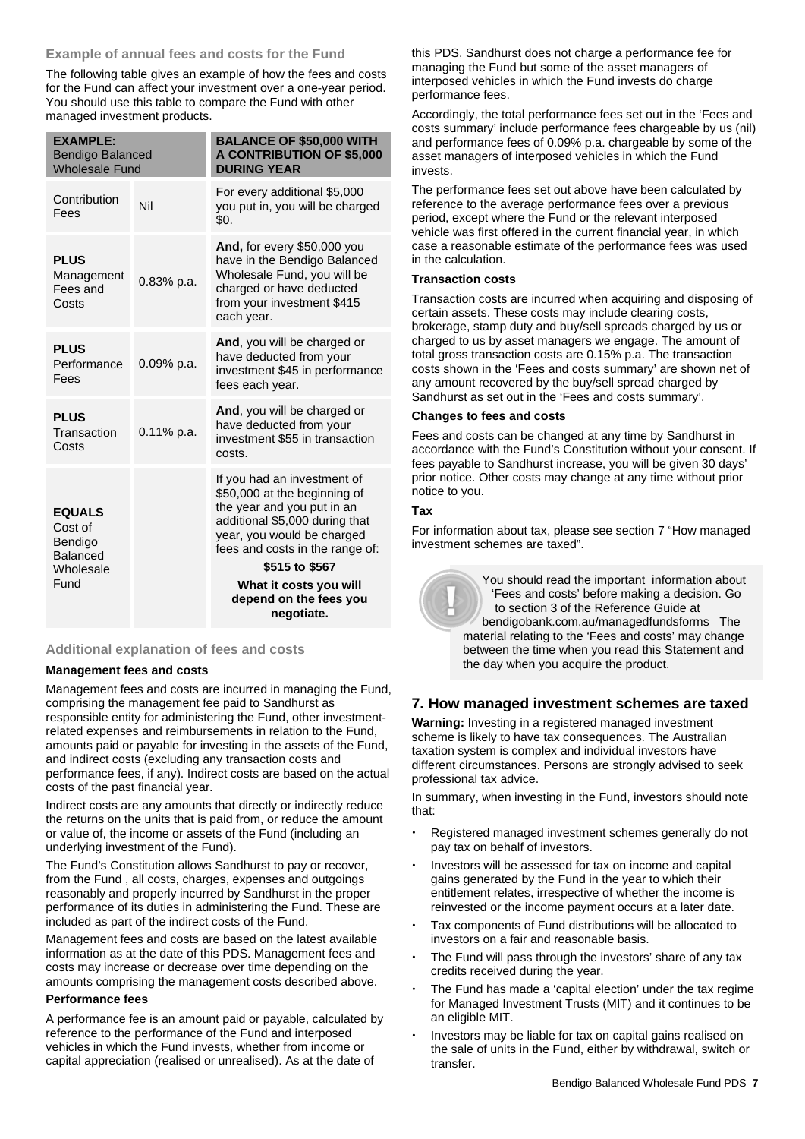#### **Example of annual fees and costs for the Fund**

The following table gives an example of how the fees and costs for the Fund can affect your investment over a one-year period. You should use this table to compare the Fund with other managed investment products.

| <b>EXAMPLE:</b><br><b>Bendigo Balanced</b><br><b>Wholesale Fund</b> |               | <b>BALANCE OF \$50,000 WITH</b><br><b>A CONTRIBUTION OF \$5,000</b><br><b>DURING YEAR</b>                                                                                                                      |
|---------------------------------------------------------------------|---------------|----------------------------------------------------------------------------------------------------------------------------------------------------------------------------------------------------------------|
| Contribution<br>Fees                                                | Nil           | For every additional \$5,000<br>you put in, you will be charged<br>\$0.                                                                                                                                        |
| <b>PLUS</b><br>Management<br>Fees and<br>Costs                      | $0.83\%$ p.a. | And, for every \$50,000 you<br>have in the Bendigo Balanced<br>Wholesale Fund, you will be<br>charged or have deducted<br>from your investment \$415<br>each year.                                             |
| <b>PLUS</b><br>Performance<br>Fees                                  | $0.09\%$ p.a. | And, you will be charged or<br>have deducted from your<br>investment \$45 in performance<br>fees each year.                                                                                                    |
| <b>PLUS</b><br>Transaction<br>Costs                                 | $0.11\%$ p.a. | And, you will be charged or<br>have deducted from your<br>investment \$55 in transaction<br>costs.                                                                                                             |
| <b>EQUALS</b><br>Cost of<br>Bendigo<br><b>Balanced</b><br>Wholesale |               | If you had an investment of<br>\$50,000 at the beginning of<br>the year and you put in an<br>additional \$5,000 during that<br>year, you would be charged<br>fees and costs in the range of:<br>\$515 to \$567 |
| Fund                                                                |               | What it costs you will<br>depend on the fees you<br>negotiate.                                                                                                                                                 |

#### **Additional explanation of fees and costs**

#### **Management fees and costs**

Management fees and costs are incurred in managing the Fund, comprising the management fee paid to Sandhurst as responsible entity for administering the Fund, other investmentrelated expenses and reimbursements in relation to the Fund, amounts paid or payable for investing in the assets of the Fund, and indirect costs (excluding any transaction costs and performance fees, if any). Indirect costs are based on the actual costs of the past financial year.

Indirect costs are any amounts that directly or indirectly reduce the returns on the units that is paid from, or reduce the amount or value of, the income or assets of the Fund (including an underlying investment of the Fund).

The Fund's Constitution allows Sandhurst to pay or recover, from the Fund , all costs, charges, expenses and outgoings reasonably and properly incurred by Sandhurst in the proper performance of its duties in administering the Fund. These are included as part of the indirect costs of the Fund.

Management fees and costs are based on the latest available information as at the date of this PDS. Management fees and costs may increase or decrease over time depending on the amounts comprising the management costs described above.

#### **Performance fees**

A performance fee is an amount paid or payable, calculated by reference to the performance of the Fund and interposed vehicles in which the Fund invests, whether from income or capital appreciation (realised or unrealised). As at the date of

this PDS, Sandhurst does not charge a performance fee for managing the Fund but some of the asset managers of interposed vehicles in which the Fund invests do charge performance fees.

Accordingly, the total performance fees set out in the 'Fees and costs summary' include performance fees chargeable by us (nil) and performance fees of 0.09% p.a. chargeable by some of the asset managers of interposed vehicles in which the Fund invests.

The performance fees set out above have been calculated by reference to the average performance fees over a previous period, except where the Fund or the relevant interposed vehicle was first offered in the current financial year, in which case a reasonable estimate of the performance fees was used in the calculation.

#### **Transaction costs**

Transaction costs are incurred when acquiring and disposing of certain assets. These costs may include clearing costs, brokerage, stamp duty and buy/sell spreads charged by us or charged to us by asset managers we engage. The amount of total gross transaction costs are 0.15% p.a. The transaction costs shown in the 'Fees and costs summary' are shown net of any amount recovered by the buy/sell spread charged by Sandhurst as set out in the 'Fees and costs summary'.

#### **Changes to fees and costs**

Fees and costs can be changed at any time by Sandhurst in accordance with the Fund's Constitution without your consent. If fees payable to Sandhurst increase, you will be given 30 days' prior notice. Other costs may change at any time without prior notice to you.

#### **Tax**

For information about tax, please see section 7 "How managed investment schemes are taxed".

> You should read the important information about 'Fees and costs' before making a decision. Go to section 3 of the Reference Guide at [bendigobank.com.au/managedfundsfo](https://bendigobank.com.au/managedfundsforms)rms The material relating to the 'Fees and costs' may change between the time when you read this Statement and the day when you acquire the product.

# **7. How managed investment schemes are taxed**

**Warning:** Investing in a registered managed investment scheme is likely to have tax consequences. The Australian taxation system is complex and individual investors have different circumstances. Persons are strongly advised to seek professional tax advice.

In summary, when investing in the Fund, investors should note that:

- Registered managed investment schemes generally do not pay tax on behalf of investors.
- Investors will be assessed for tax on income and capital gains generated by the Fund in the year to which their entitlement relates, irrespective of whether the income is reinvested or the income payment occurs at a later date.
- Tax components of Fund distributions will be allocated to investors on a fair and reasonable basis.
- The Fund will pass through the investors' share of any tax credits received during the year.
- The Fund has made a 'capital election' under the tax regime for Managed Investment Trusts (MIT) and it continues to be an eligible MIT.
- Investors may be liable for tax on capital gains realised on the sale of units in the Fund, either by withdrawal, switch or transfer.